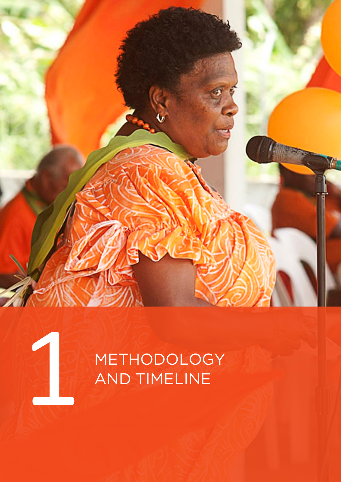**METHODOLOGY** AND TIMELINE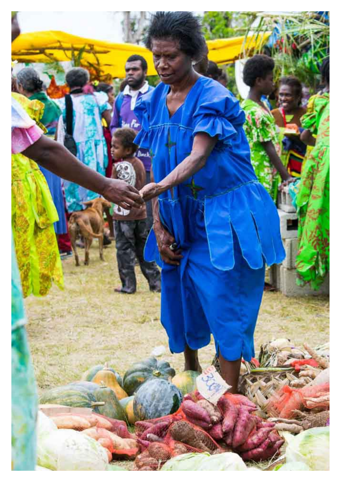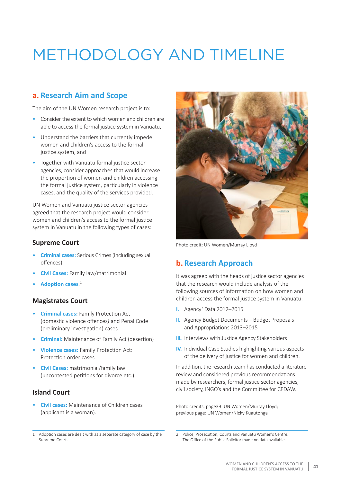# METHODOLOGY AND TIMELINE

## **a. Research Aim and Scope**

The aim of the UN Women research project is to:

- Consider the extent to which women and children are able to access the formal justice system in Vanuatu,
- Understand the barriers that currently impede women and children's access to the formal justice system, and
- Together with Vanuatu formal justice sector agencies, consider approaches that would increase the proportion of women and children accessing the formal justice system, particularly in violence cases, and the quality of the services provided.

UN Women and Vanuatu justice sector agencies agreed that the research project would consider women and children's access to the formal justice system in Vanuatu in the following types of cases:

#### **Supreme Court**

- **Criminal cases:** Serious Crimes (including sexual offences)
- **Civil Cases:** Family law/matrimonial
- **Adoption cases**. 1

#### **Magistrates Court**

- **Criminal cases:** Family Protection Act (domestic violence offences*)* and Penal Code (preliminary investigation) cases
- **Criminal:** Maintenance of Family Act (desertion)
- **Violence cases:** Family Protection Act: Protection order cases
- **Civil Cases:** matrimonial/family law (uncontested petitions for divorce etc.)

#### **Island Court**

• **Civil cases:** Maintenance of Children cases (applicant is a woman).



Photo credit: UN Women/Murray Lloyd

## **b. Research Approach**

It was agreed with the heads of justice sector agencies that the research would include analysis of the following sources of information on how women and children access the formal justice system in Vanuatu:

- **I.** Agency<sup>2</sup> Data 2012-2015
- **II.** Agency Budget Documents Budget Proposals and Appropriations 2013–2015
- **III.** Interviews with Justice Agency Stakeholders
- **IV.** Individual Case Studies highlighting various aspects of the delivery of justice for women and children.

In addition, the research team has conducted a literature review and considered previous recommendations made by researchers, formal justice sector agencies, civil society, INGO's and the Committee for CEDAW.

Photo credits, page39: UN Women/Murray Lloyd; previous page: UN Women/Nicky Kuautonga

<sup>1</sup> Adoption cases are dealt with as a separate category of case by the Supreme Court.

<sup>2</sup> Police, Prosecution, Courts and Vanuatu Women's Centre. The Office of the Public Solicitor made no data available.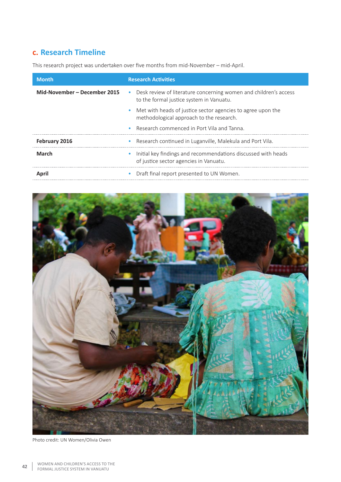## **c. Research Timeline**

This research project was undertaken over five months from mid-November – mid-April.

| <b>Month</b>                 | <b>Research Activities</b>                                                                                                |
|------------------------------|---------------------------------------------------------------------------------------------------------------------------|
| Mid-November – December 2015 | Desk review of literature concerning women and children's access<br>$\bullet$<br>to the formal justice system in Vanuatu. |
|                              | Met with heads of justice sector agencies to agree upon the<br>$\bullet$<br>methodological approach to the research.      |
|                              | Research commenced in Port Vila and Tanna.<br>$\bullet$                                                                   |
| <b>February 2016</b>         | Research continued in Luganville, Malekula and Port Vila.<br>$\bullet$                                                    |
| <b>March</b>                 | Initial key findings and recommendations discussed with heads<br>$\bullet$<br>of justice sector agencies in Vanuatu.      |
| Apri                         | Draft final report presented to UN Women.                                                                                 |



Photo credit: UN Women/Olivia Owen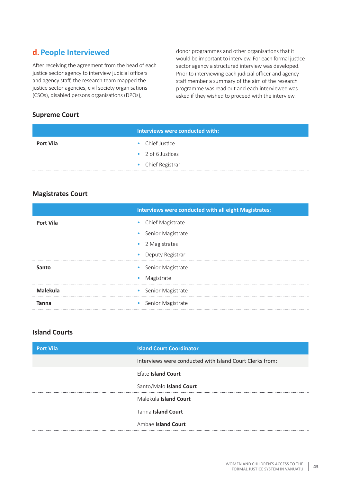# **d. People Interviewed**

After receiving the agreement from the head of each justice sector agency to interview judicial officers and agency staff, the research team mapped the justice sector agencies, civil society organisations (CSOs), disabled persons organisations (DPOs),

donor programmes and other organisations that it would be important to interview. For each formal justice sector agency a structured interview was developed. Prior to interviewing each judicial officer and agency staff member a summary of the aim of the research programme was read out and each interviewee was asked if they wished to proceed with the interview.

#### **Supreme Court**

|                  | Interviews were conducted with: |
|------------------|---------------------------------|
| <b>Port Vila</b> | • Chief Justice                 |
|                  | • 2 of 6 Justices               |
|                  | • Chief Registrar               |

#### **Magistrates Court**

|                  | <b>Interviews were conducted with all eight Magistrates:</b> |
|------------------|--------------------------------------------------------------|
| <b>Port Vila</b> | • Chief Magistrate                                           |
|                  | • Senior Magistrate                                          |
|                  | • 2 Magistrates                                              |
|                  | • Deputy Registrar                                           |
| <b>Santo</b>     | • Senior Magistrate                                          |
|                  | • Magistrate                                                 |
| <b>Malekula</b>  | • Senior Magistrate                                          |
| <b>Tanna</b>     | • Senior Magistrate                                          |

#### **Island Courts**

| <b>Port Vila</b> | <b>Island Court Coordinator</b>                          |
|------------------|----------------------------------------------------------|
|                  | Interviews were conducted with Island Court Clerks from: |
|                  | <b>Efate Island Court</b>                                |
|                  | Santo/Malo Island Court                                  |
|                  | Malekula Island Court                                    |
|                  | Tanna Island Court                                       |
|                  | Ambae Island Court                                       |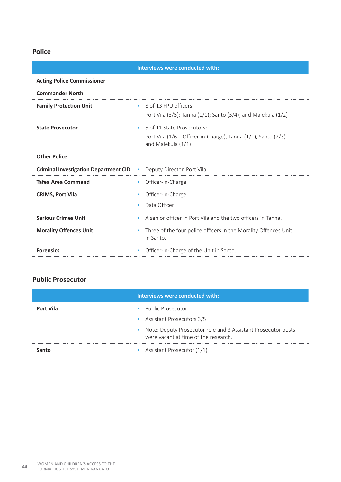## **Police**

|                                              | Interviews were conducted with:                                                                                          |
|----------------------------------------------|--------------------------------------------------------------------------------------------------------------------------|
| <b>Acting Police Commissioner</b>            |                                                                                                                          |
| <b>Commander North</b>                       |                                                                                                                          |
| <b>Family Protection Unit</b>                | 8 of 13 FPU officers:<br>$\bullet$<br>Port Vila (3/5); Tanna (1/1); Santo (3/4); and Malekula (1/2)                      |
| <b>State Prosecutor</b>                      | 5 of 11 State Prosecutors:<br>Port Vila $(1/6 -$ Officer-in-Charge), Tanna $(1/1)$ , Santo $(2/3)$<br>and Malekula (1/1) |
| <b>Other Police</b>                          |                                                                                                                          |
| <b>Criminal Investigation Department CID</b> | Deputy Director, Port Vila                                                                                               |
| <b>Tafea Area Command</b>                    | Officer-in-Charge<br>۰                                                                                                   |
| <b>CRIMS, Port Vila</b>                      | Officer-in-Charge<br>$\bullet$<br>Data Officer                                                                           |
| <b>Serious Crimes Unit</b>                   | A senior officer in Port Vila and the two officers in Tanna.                                                             |
| <b>Morality Offences Unit</b>                | Three of the four police officers in the Morality Offences Unit<br>۰<br>in Santo.                                        |
| <b>Forensics</b>                             | Officer-in-Charge of the Unit in Santo.                                                                                  |

## **Public Prosecutor**

|                  | Interviews were conducted with:                                                                         |
|------------------|---------------------------------------------------------------------------------------------------------|
| <b>Port Vila</b> | • Public Prosecutor                                                                                     |
|                  | • Assistant Prosecutors 3/5                                                                             |
|                  | • Note: Deputy Prosecutor role and 3 Assistant Prosecutor posts<br>were vacant at time of the research. |
| Santo            | • Assistant Prosecutor $(1/1)$                                                                          |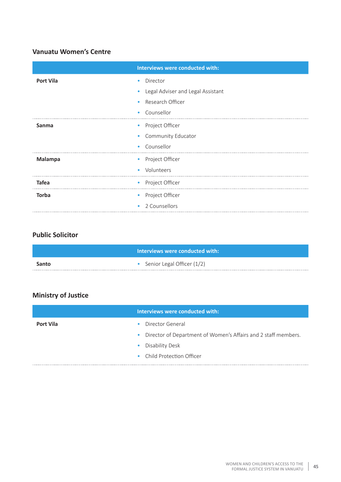## **Vanuatu Women's Centre**

|                  | Interviews were conducted with:   |
|------------------|-----------------------------------|
| <b>Port Vila</b> | Director<br>$\bullet$             |
|                  | Legal Adviser and Legal Assistant |
|                  | Research Officer<br>$\bullet$     |
|                  | Counsellor<br>$\bullet$           |
| Sanma            | • Project Officer                 |
|                  | • Community Educator              |
|                  | Counsellor<br>$\bullet$           |
| <b>Malampa</b>   | • Project Officer                 |
|                  | • Volunteers                      |
| <b>Tafea</b>     | • Project Officer                 |
| <b>Torba</b>     | • Project Officer                 |
|                  | • 2 Counsellors                   |

## **Public Solicitor**

|       | Interviews were conducted with: |
|-------|---------------------------------|
| Santo | • Senior Legal Officer (1/2)    |

# **Ministry of Justice**

|                  | Interviews were conducted with:                                  |
|------------------|------------------------------------------------------------------|
| <b>Port Vila</b> | • Director General                                               |
|                  | • Director of Department of Women's Affairs and 2 staff members. |
|                  | • Disability Desk                                                |
|                  | • Child Protection Officer                                       |
|                  |                                                                  |